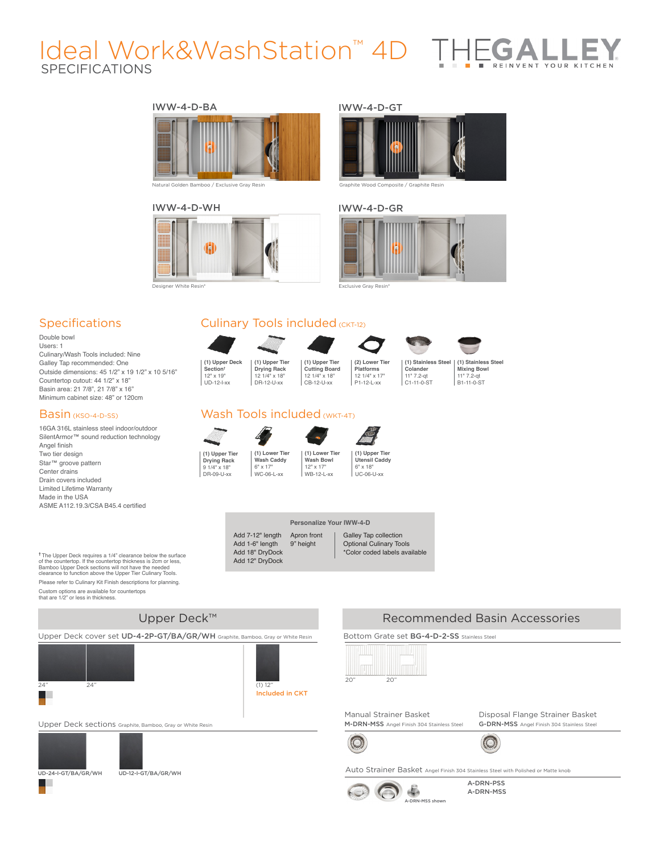# SPECIFICATIONS Ideal Work&WashStation™ 4D THE

### IWW-4-D-BA IWW-4-D-GT







Natural Golden Bamboo / Exclusive Gray Resin Graphite Wood Composite / Graphite Resin

#### IWW-4-D-WH IWW-4-D-GR



Designer White Resin\* Exclusive Gray Resin\*

# **Specifications**

Double bowl Users: 1 Culinary/Wash Tools included: Nine Galley Tap recommended: One Outside dimensions: 45 1/2" x 19 1/2" x 10 5/16" Countertop cutout: 44 1/2" x 18" Basin area: 21 7/8", 21 7/8" x 16" Minimum cabinet size: 48" or 120cm

### Basin (KSO-4-D-SS)

16GA 316L stainless steel indoor/outdoor SilentArmor™ sound reduction technology Angel finish Two tier design Star™ groove pattern Center drains Drain covers included Limited Lifetime Warranty Made in the USA ASME A112.19.3/CSA B45.4 certified

**†** The Upper Deck requires a 1/4" clearance below the surface of the countertop. If the countertop thickness is 2cm or less, Bamboo Upper Deck sections will not have the needed clearance to function above the Upper Tier Culinary Tools. Please refer to Culinary Kit Finish descriptions for planning. Custom options are available for countertops that are 1/2" or less in thickness.

# Culinary Tools included (CKT-12)



**(1) Upper Tier Cutting Board** 12 1/4" x 18" CB-12-U-xx



**(1) Stainless Steel Colander** 11" 7.2-qt C1-11-0-ST

**(1) Stainless Steel Mixing Bowl** 11" 7.2-qt B1-11-0-ST

## Wash Tools included (WKT-4T)







**Utensil Caddy** 6" x 18"  $\overline{U}$ 

#### **Personalize Your IWW-4-D**

 $WR-12-$ 

Add 7-12" length Add 1-6" length Add 18" DryDock Add 12" DryDock Apron front 9" height

#### Galley Tap collection Optional Culinary Tools \*Color coded labels available

# Upper Deck™

Upper Deck cover set UD-4-2P-GT/BA/GR/WH Graphite, Bamboo, Gray or White Resin Bottom Grate set BG-4-D-2-SS stainless Steel





Upper Deck sections Graphite, Bamboo, Gray or White Resin



H





 $\bigcirc$ 

Manual Strainer Basket M-DRN-MSS Angel Finish 304 Stainless Steel

 $\overline{20"}$ 



Recommended Basin Accessories

Disposal Flange Strainer Basket G-DRN-MSS Angel Finish 304 Stainless Steel

O,





A-DRN-PSS A-DRN-MSS